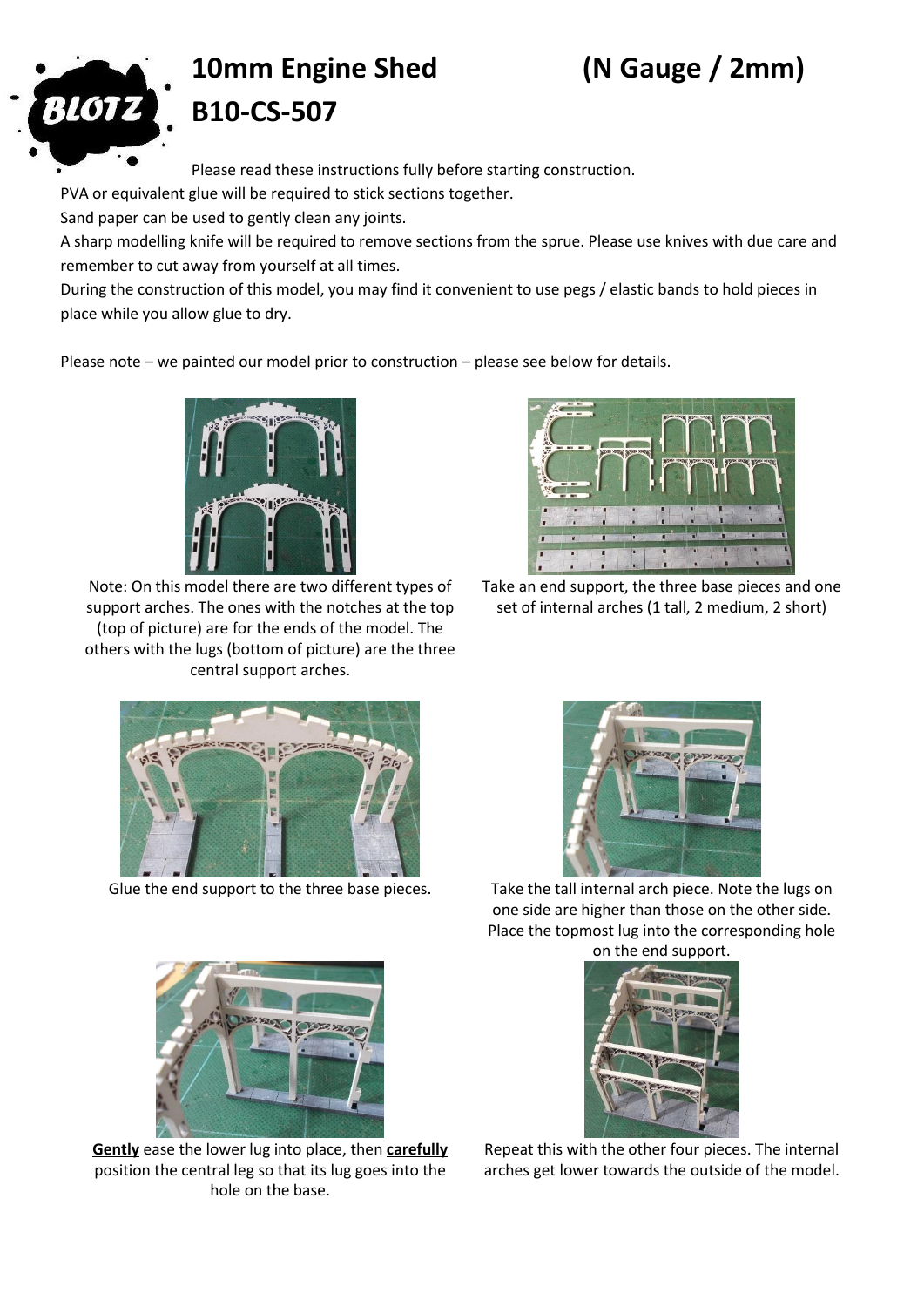

## **10mm Engine Shed (N Gauge / 2mm) B10-CS-507**

Please read these instructions fully before starting construction.

PVA or equivalent glue will be required to stick sections together.

Sand paper can be used to gently clean any joints.

A sharp modelling knife will be required to remove sections from the sprue. Please use knives with due care and remember to cut away from yourself at all times.

During the construction of this model, you may find it convenient to use pegs / elastic bands to hold pieces in place while you allow glue to dry.

Please note – we painted our model prior to construction – please see below for details.



Note: On this model there are two different types of support arches. The ones with the notches at the top (top of picture) are for the ends of the model. The others with the lugs (bottom of picture) are the three central support arches.



Take an end support, the three base pieces and one set of internal arches (1 tall, 2 medium, 2 short)





Glue the end support to the three base pieces. Take the tall internal arch piece. Note the lugs on one side are higher than those on the other side. Place the topmost lug into the corresponding hole





**Gently** ease the lower lug into place, then **carefully** position the central leg so that its lug goes into the hole on the base.



Repeat this with the other four pieces. The internal arches get lower towards the outside of the model.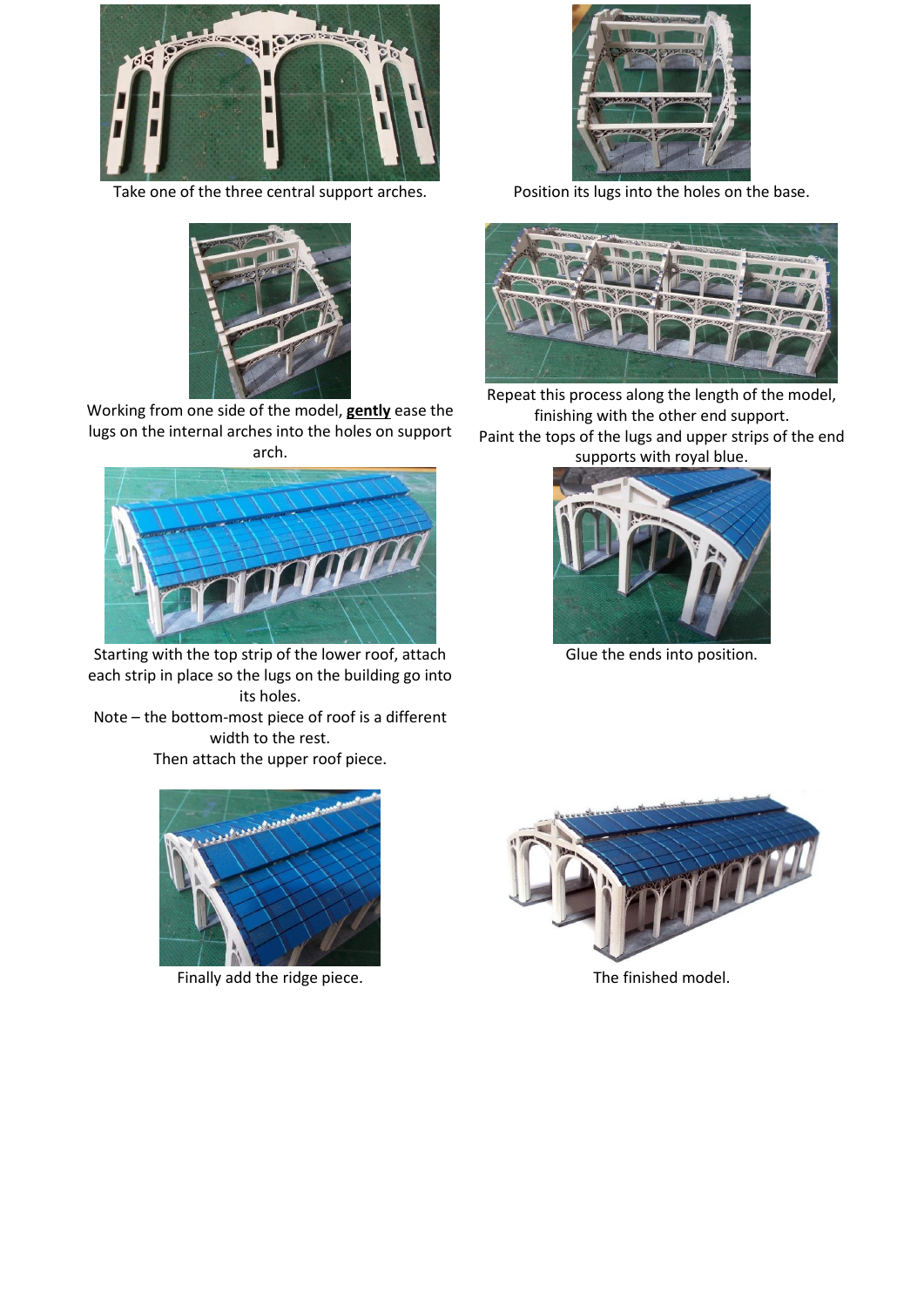

Take one of the three central support arches. Position its lugs into the holes on the base.



Working from one side of the model, **gently** ease the lugs on the internal arches into the holes on support arch.



Starting with the top strip of the lower roof, attach each strip in place so the lugs on the building go into its holes.

Note – the bottom-most piece of roof is a different width to the rest. Then attach the upper roof piece.







Repeat this process along the length of the model, finishing with the other end support. Paint the tops of the lugs and upper strips of the end supports with royal blue.



Glue the ends into position.